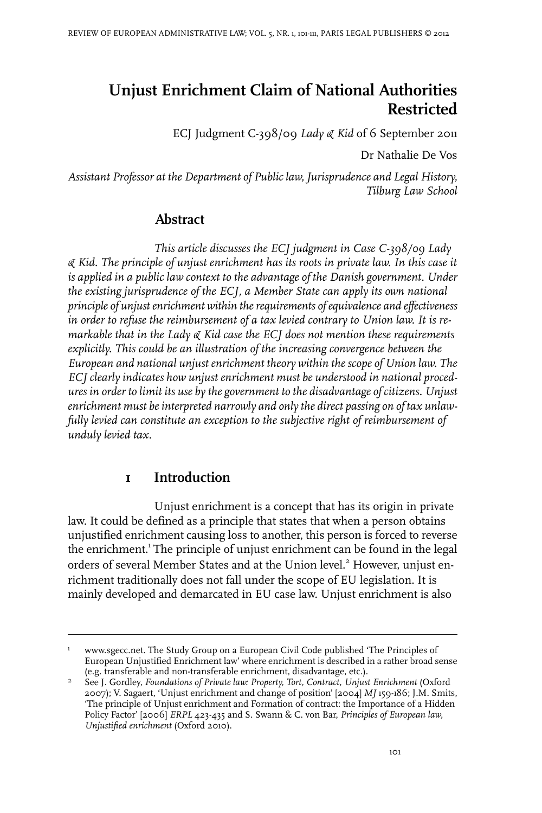# **Unjust Enrichment Claim of National Authorities Restricted**

ECJ Judgment C-398/09 *Lady & Kid* of 6 September 2011

Dr Nathalie De Vos

*Assistant Professor at the Department of Public law, Jurisprudence and Legal History, Tilburg Law School*

# **Abstract**

*This article discusses the ECJ judgment in Case C-398/09 Lady & Kid. The principle of unjust enrichment has its roots in private law. In this case it is applied in a public law context to the advantage of the Danish government. Under the existing jurisprudence of the ECJ, a Member State can apply its own national principle of unjustenrichment within therequirements ofequivalence and effectiveness in order to refuse the reimbursement of a tax levied contrary to Union law. It is remarkable that in the Lady & Kid case the ECJ does not mention these requirements explicitly. This could be an illustration of the increasing convergence between the European and national unjust enrichment theory within the scope of Union law. The ECJ clearly indicates how unjust enrichment must be understood in national procedures in order to limit its use by the government to the disadvantage of citizens. Unjust enrichment must beinterpreted narrowly and only the direct passing on of tax unlawfully levied can constitute an exception to the subjective right of reimbursement of unduly levied tax.*

#### **1 Introduction**

Unjust enrichment is a concept that has its origin in private law. It could be defined as a principle that states that when a person obtains unjustified enrichment causing loss to another, this person is forced to reverse the enrichment.<sup>1</sup> The principle of unjust enrichment can be found in the legal orders of several Member States and at the Union level.<sup>2</sup> However, unjust enrichment traditionally does not fall under the scope of EU legislation. It is mainly developed and demarcated in EU case law. Unjust enrichment is also

www.sgecc.net. The Study Group on a European Civil Code published 'The Principles of European Unjustified Enrichment law' where enrichment is described in a rather broad sense (e.g. transferable and non-transferable enrichment, disadvantage, etc.). 1

See J. Gordley, *Foundations of Private law: Property, Tort, Contract, Unjust Enrichment* (Oxford 2007); V. Sagaert, 'Unjust enrichment and change of position' [2004] *MJ* 159-186; J.M. Smits, 2 'The principle of Unjust enrichment and Formation of contract: the Importance of a Hidden Policy Factor' [2006] *ERPL* 423-435 and S. Swann & C. von Bar, *Principles of European law, Unjustified enrichment* (Oxford 2010).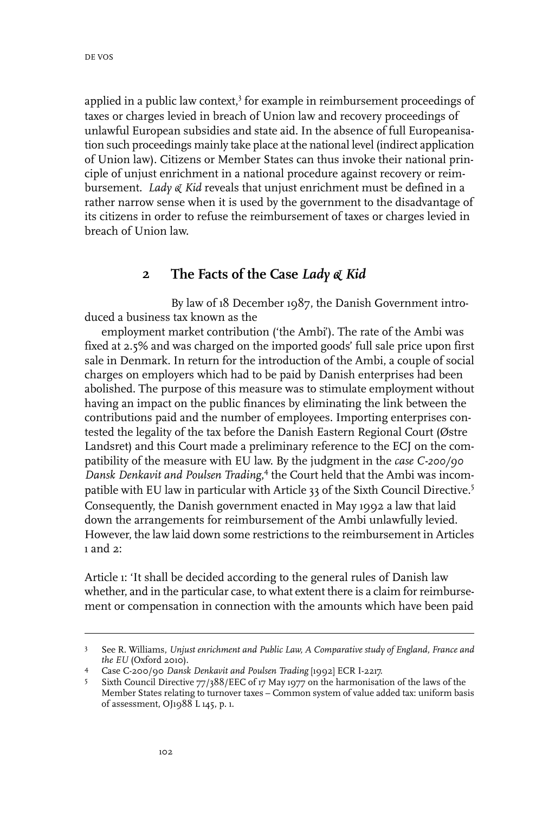applied in a public law context,<sup>3</sup> for example in reimbursement proceedings of taxes or charges levied in breach of Union law and recovery proceedings of unlawful European subsidies and state aid. In the absence of full Europeanisation such proceedings mainly take place at the national level (indirect application of Union law). Citizens or Member States can thus invoke their national principle of unjust enrichment in a national procedure against recovery or reimbursement. *Lady & Kid* reveals that unjust enrichment must be defined in a rather narrow sense when it is used by the government to the disadvantage of its citizens in order to refuse the reimbursement of taxes or charges levied in breach of Union law.

#### **2 The Facts of the Case** *Lady & Kid*

By law of 18 December 1987, the Danish Government introduced a business tax known as the

employment market contribution ('the Ambi'). The rate of the Ambi was fixed at 2.5% and was charged on the imported goods' full sale price upon first sale in Denmark. In return for the introduction of the Ambi, a couple of social charges on employers which had to be paid by Danish enterprises had been abolished. The purpose of this measure was to stimulate employment without having an impact on the public finances by eliminating the link between the contributions paid and the number of employees. Importing enterprises contested the legality of the tax before the Danish Eastern Regional Court (Østre Landsret) and this Court made a preliminary reference to the ECJ on the compatibility of the measure with EU law. By the judgment in the *case C-200/90 Dansk Denkavit and Poulsen Trading*, 4 the Court held that the Ambi was incompatible with EU law in particular with Article 33 of the Sixth Council Directive.<sup>5</sup> Consequently, the Danish government enacted in May 1992 a law that laid down the arrangements for reimbursement of the Ambi unlawfully levied. However, the law laid down some restrictions to the reimbursement in Articles 1 and  $2^{\circ}$ 

Article 1: 'It shall be decided according to the general rules of Danish law whether, and in the particular case, to what extent there is a claim for reimbursement or compensation in connection with the amounts which have been paid

See R. Williams, *Unjust enrichment and Public Law, A Comparative study of England, France and the EU* (Oxford 2010). 3

Case C-200/90 *Dansk Denkavit and Poulsen Trading* [1992] ECR I-2217. 4

Sixth Council Directive 77/388/EEC of 17 May 1977 on the harmonisation of the laws of the Member States relating to turnover taxes – Common system of value added tax: uniform basis of assessment, OJ1988 L 145, p. 1. 5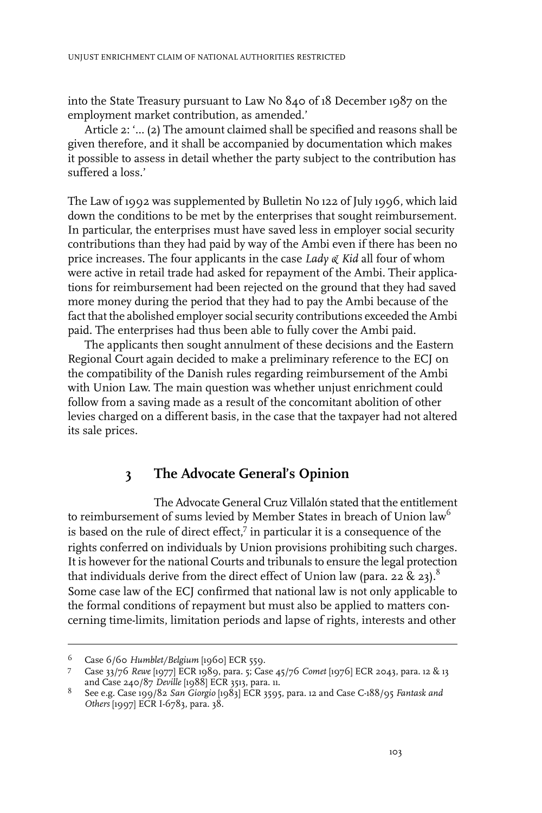into the State Treasury pursuant to Law No 840 of 18 December 1987 on the employment market contribution, as amended.'

Article 2: '… (2) The amount claimed shall be specified and reasons shall be given therefore, and it shall be accompanied by documentation which makes it possible to assess in detail whether the party subject to the contribution has suffered a loss.'

The Law of 1992 was supplemented by Bulletin No 122 of July 1996, which laid down the conditions to be met by the enterprises that sought reimbursement. In particular, the enterprises must have saved less in employer social security contributions than they had paid by way of the Ambi even if there has been no price increases. The four applicants in the case *Lady & Kid* all four of whom were active in retail trade had asked for repayment of the Ambi. Their applications for reimbursement had been rejected on the ground that they had saved more money during the period that they had to pay the Ambi because of the fact that the abolished employer social security contributions exceeded the Ambi paid. The enterprises had thus been able to fully cover the Ambi paid.

The applicants then sought annulment of these decisions and the Eastern Regional Court again decided to make a preliminary reference to the ECJ on the compatibility of the Danish rules regarding reimbursement of the Ambi with Union Law. The main question was whether unjust enrichment could follow from a saving made as a result of the concomitant abolition of other levies charged on a different basis, in the case that the taxpayer had not altered its sale prices.

## **3 The Advocate General's Opinion**

The Advocate General Cruz Villalón stated that the entitlement to reimbursement of sums levied by Member States in breach of Union law<sup>6</sup> is based on the rule of direct effect,<sup>7</sup> in particular it is a consequence of the rights conferred on individuals by Union provisions prohibiting such charges. It is however for the national Courts and tribunals to ensure the legal protection that individuals derive from the direct effect of Union law (para. 22 & 23).<sup>8</sup> Some case law of the ECJ confirmed that national law is not only applicable to the formal conditions of repayment but must also be applied to matters concerning time-limits, limitation periods and lapse of rights, interests and other

Case 6/60 *Humblet/Belgium* [1960] ECR 559. <sup>6</sup>

Case 33/76 *Rewe* [1977] ECR 1989, para. 5; Case 45/76 *Comet* [1976] ECR 2043, para. 12 & 13 7 and Case 240/87 *Deville* [1988] ECR 3513, para. 11.

See e.g. Case 199/82 *San Giorgio* [1983] ECR 3595, para. 12 and Case C-188/95 *Fantask and* 8 *Others* [1997] ECR I-6783, para. 38.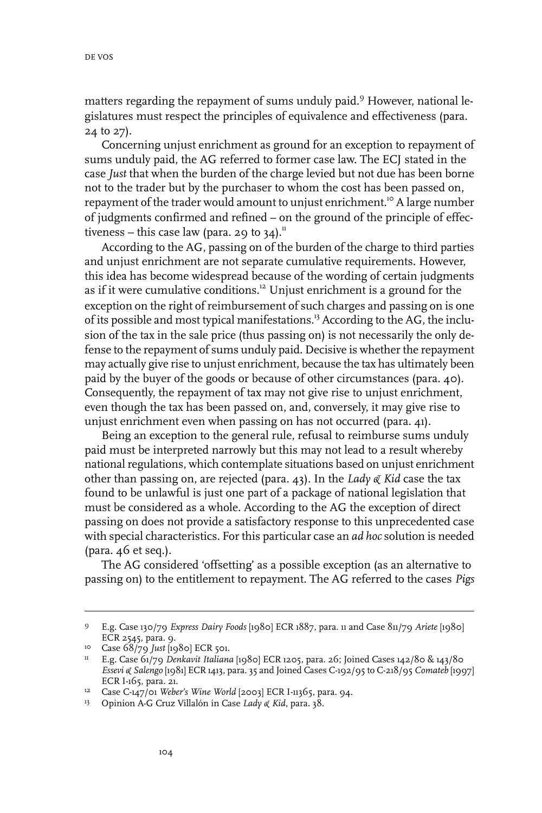matters regarding the repayment of sums unduly paid.<sup>9</sup> However, national legislatures must respect the principles of equivalence and effectiveness (para. 24 to 27).

Concerning unjust enrichment as ground for an exception to repayment of sums unduly paid, the AG referred to former case law. The ECJ stated in the case *Just* that when the burden of the charge levied but not due has been borne not to the trader but by the purchaser to whom the cost has been passed on, repayment of the trader would amount to unjust enrichment.<sup>10</sup> A large number of judgments confirmed and refined – on the ground of the principle of effectiveness – this case law (para. 29 to  $34$ ).<sup>11</sup>

According to the AG, passing on of the burden of the charge to third parties and unjust enrichment are not separate cumulative requirements. However, this idea has become widespread because of the wording of certain judgments as if it were cumulative conditions.<sup>12</sup> Unjust enrichment is a ground for the exception on the right of reimbursement of such charges and passing on is one of its possible and most typical manifestations.<sup>13</sup> According to the AG, the inclusion of the tax in the sale price (thus passing on) is not necessarily the only defense to the repayment of sums unduly paid. Decisive is whether the repayment may actually give rise to unjust enrichment, because the tax has ultimately been paid by the buyer of the goods or because of other circumstances (para. 40). Consequently, the repayment of tax may not give rise to unjust enrichment, even though the tax has been passed on, and, conversely, it may give rise to unjust enrichment even when passing on has not occurred (para. 41).

Being an exception to the general rule, refusal to reimburse sums unduly paid must be interpreted narrowly but this may not lead to a result whereby national regulations, which contemplate situations based on unjust enrichment other than passing on, are rejected (para. 43). In the *Lady & Kid* case the tax found to be unlawful is just one part of a package of national legislation that must be considered as a whole. According to the AG the exception of direct passing on does not provide a satisfactory response to this unprecedented case with special characteristics. For this particular case an *ad hoc* solution is needed (para. 46 et seq.).

The AG considered 'offsetting' as a possible exception (as an alternative to passing on) to the entitlement to repayment. The AG referred to the cases *Pigs*

E.g. Case 130/79 *Express Dairy Foods* [1980] ECR 1887, para. 11 and Case 811/79 *Ariete* [1980] 9 ECR 2545, para. 9.

<sup>&</sup>lt;sup>10</sup> Case 68/79 *Just* [1980] ECR 501.

E.g. Case 61/79 *Denkavit Italiana* [1980] ECR 1205, para. 26; Joined Cases 142/80 & 143/80 11 *Essevi & Salengo* [1981] ECR 1413, para. 35 and Joined Cases C-192/95 to C-218/95 *Comateb* [1997] ECR I-165, para. 21.

<sup>&</sup>lt;sup>12</sup> Case C-147/01 *Weber's Wine World* [2003] ECR I-11365, para. 94.

Opinion A-G Cruz Villalón in Case *Lady & Kid*, para. 38. <sup>13</sup>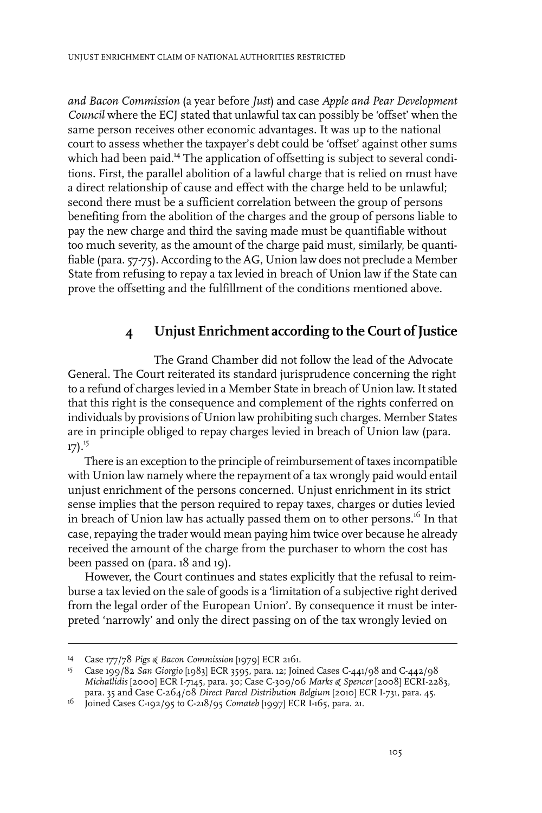*and Bacon Commission* (a year before *Just*) and case *Apple and Pear Development Council* where the ECJ stated that unlawful tax can possibly be 'offset' when the same person receives other economic advantages. It was up to the national court to assess whether the taxpayer's debt could be 'offset' against other sums which had been paid.<sup>14</sup> The application of offsetting is subject to several conditions. First, the parallel abolition of a lawful charge that is relied on must have a direct relationship of cause and effect with the charge held to be unlawful; second there must be a sufficient correlation between the group of persons benefiting from the abolition of the charges and the group of persons liable to pay the new charge and third the saving made must be quantifiable without too much severity, as the amount of the charge paid must, similarly, be quantifiable (para. 57-75). According to the AG, Union law does not preclude a Member State from refusing to repay a tax levied in breach of Union law if the State can prove the offsetting and the fulfillment of the conditions mentioned above.

## **4 Unjust Enrichment according to the Court of Justice**

The Grand Chamber did not follow the lead of the Advocate General. The Court reiterated its standard jurisprudence concerning the right to a refund of charges levied in a Member State in breach of Union law. It stated that this right is the consequence and complement of the rights conferred on individuals by provisions of Union law prohibiting such charges. Member States are in principle obliged to repay charges levied in breach of Union law (para.  $17)$ .<sup>15</sup>

There is an exception to the principle of reimbursement of taxes incompatible with Union law namely where the repayment of a tax wrongly paid would entail unjust enrichment of the persons concerned. Unjust enrichment in its strict sense implies that the person required to repay taxes, charges or duties levied in breach of Union law has actually passed them on to other persons.<sup>16</sup> In that case, repaying the trader would mean paying him twice over because he already received the amount of the charge from the purchaser to whom the cost has been passed on (para. 18 and 19).

However, the Court continues and states explicitly that the refusal to reimburse a tax levied on the sale of goods is a 'limitation of a subjective right derived from the legal order of the European Union'. By consequence it must be interpreted 'narrowly' and only the direct passing on of the tax wrongly levied on

Case 177/78 *Pigs & Bacon Commission* [1979] ECR 2161. <sup>14</sup>

Case 199/82 *San Giorgio* [1983] ECR 3595, para. 12; Joined Cases C-441/98 and C-442/98 15 *Michaïlidis* [2000] ECR I-7145, para. 30; Case C-309/06 *Marks & Spencer* [2008] ECRI-2283, para. 35 and Case C-264/08 *Direct Parcel Distribution Belgium* [2010] ECR I-731, para. 45.

<sup>16</sup> Joined Cases C-192/95 to C-218/95 *Comateb* [1997] ECR I-165, para. 21.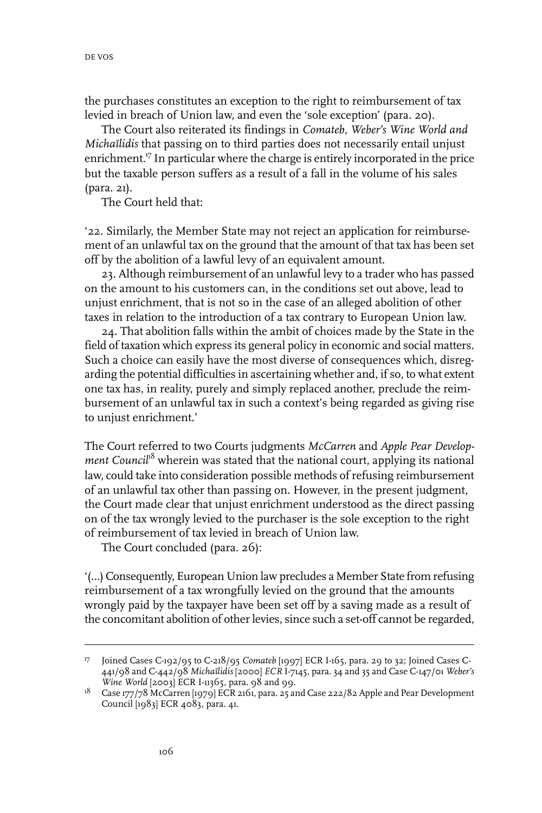the purchases constitutes an exception to the right to reimbursement of tax levied in breach of Union law, and even the 'sole exception' (para. 20).

The Court also reiterated its findings in *Comateb, Weber's Wine World and Michaïlidis* that passing on to third parties does not necessarily entail unjust enrichment.<sup>17</sup> In particular where the charge is entirely incorporated in the price but the taxable person suffers as a result of a fall in the volume of his sales (para. 21).

The Court held that:

'22. Similarly, the Member State may not reject an application for reimbursement of an unlawful tax on the ground that the amount of that tax has been set off by the abolition of a lawful levy of an equivalent amount.

23. Although reimbursement of an unlawful levy to a trader who has passed on the amount to his customers can, in the conditions set out above, lead to unjust enrichment, that is not so in the case of an alleged abolition of other taxes in relation to the introduction of a tax contrary to European Union law.

24. That abolition falls within the ambit of choices made by the State in the field of taxation which express its general policy in economic and social matters. Such a choice can easily have the most diverse of consequences which, disregarding the potential difficulties in ascertaining whether and, if so, to what extent one tax has, in reality, purely and simply replaced another, preclude the reimbursement of an unlawful tax in such a context's being regarded as giving rise to unjust enrichment.'

The Court referred to two Courts judgments *McCarren* and *Apple Pear Development Council<sup>18</sup>* wherein was stated that the national court, applying its national law, could take into consideration possible methods of refusing reimbursement of an unlawful tax other than passing on. However, in the present judgment, the Court made clear that unjust enrichment understood as the direct passing on of the tax wrongly levied to the purchaser is the sole exception to the right of reimbursement of tax levied in breach of Union law.

The Court concluded (para. 26):

'(…) Consequently, European Union law precludes a Member State from refusing reimbursement of a tax wrongfully levied on the ground that the amounts wrongly paid by the taxpayer have been set off by a saving made as a result of the concomitant abolition of other levies, since such a set-off cannot be regarded,

<sup>&</sup>lt;sup>17</sup> Joined Cases C-192/95 to C-218/95 *Comateb* [1997] ECR I-165, para. 29 to 32; Joined Cases C-441/98 and C-442/98 *Michaïlidis* [2000] *ECR* I-7145, para. 34 and 35 and Case C-147/01 *Weber's Wine World* [2003] ECR I-11365, para. 98 and 99.

 $^{18}$   $\,$  Case 177/78 McCarren [1979] ECR 2161, para. 25 and Case 222/82 Apple and Pear Development Council [1983] ECR 4083, para. 41.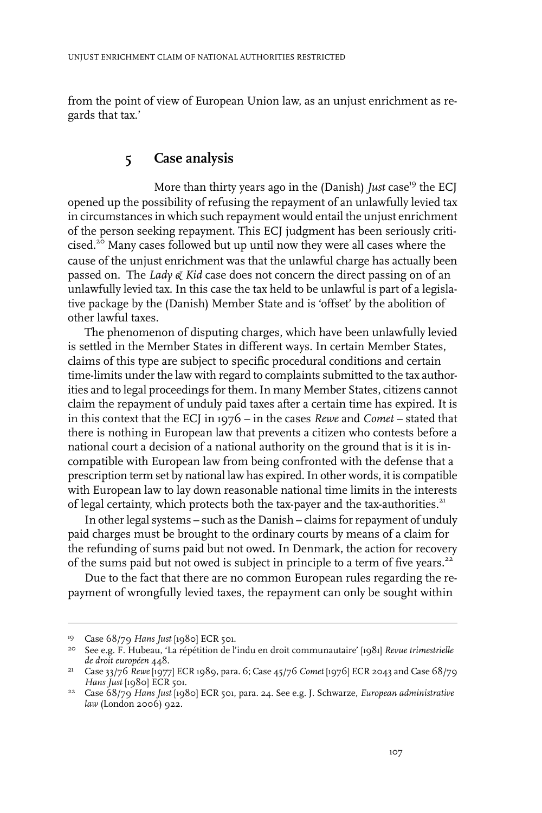from the point of view of European Union law, as an unjust enrichment as regards that tax.'

#### **5 Case analysis**

More than thirty years ago in the (Danish) *Just* case<sup>19</sup> the ECJ opened up the possibility of refusing the repayment of an unlawfully levied tax in circumstances in which such repayment would entail the unjust enrichment of the person seeking repayment. This ECJ judgment has been seriously criticised.<sup>20</sup> Many cases followed but up until now they were all cases where the cause of the unjust enrichment was that the unlawful charge has actually been passed on. The *Lady & Kid* case does not concern the direct passing on of an unlawfully levied tax. In this case the tax held to be unlawful is part of a legislative package by the (Danish) Member State and is 'offset' by the abolition of other lawful taxes.

The phenomenon of disputing charges, which have been unlawfully levied is settled in the Member States in different ways. In certain Member States, claims of this type are subject to specific procedural conditions and certain time-limits under the law with regard to complaints submitted to the tax authorities and to legal proceedings for them. In many Member States, citizens cannot claim the repayment of unduly paid taxes after a certain time has expired. It is in this context that the ECJ in 1976 – in the cases *Rewe* and *Comet* – stated that there is nothing in European law that prevents a citizen who contests before a national court a decision of a national authority on the ground that is it is incompatible with European law from being confronted with the defense that a prescription term set by national law has expired.In other words, it is compatible with European law to lay down reasonable national time limits in the interests of legal certainty, which protects both the tax-payer and the tax-authorities.<sup>21</sup>

In other legal systems – such as the Danish – claims for repayment of unduly paid charges must be brought to the ordinary courts by means of a claim for the refunding of sums paid but not owed. In Denmark, the action for recovery of the sums paid but not owed is subject in principle to a term of five years.<sup>22</sup>

Due to the fact that there are no common European rules regarding the repayment of wrongfully levied taxes, the repayment can only be sought within

<sup>&</sup>lt;sup>19</sup> Case 68/79 *Hans Just* [1980] ECR 501.

See e.g. F. Hubeau, 'La répétition de l'indu en droit communautaire' [1981] *Revue trimestrielle* 20 *de droit européen* 448.

Case 33/76 *Rewe* [1977] ECR 1989, para. 6; Case 45/76 *Comet* [1976] ECR 2043 and Case 68/79 21 *Hans Just* [1980] ECR 501.

Case 68/79 *Hans Just* [1980] ECR 501, para. 24. See e.g. J. Schwarze, *European administrative* 22 *law* (London 2006) 922.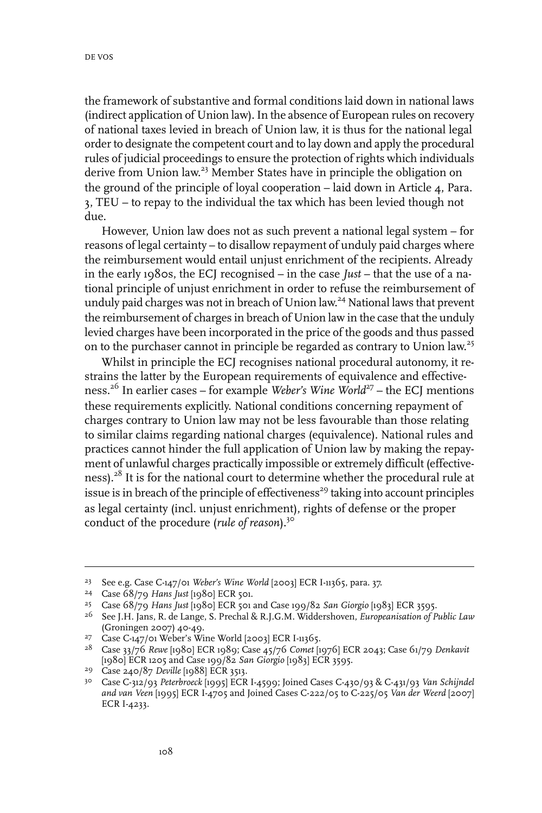the framework of substantive and formal conditions laid down in national laws (indirect application of Union law). In the absence of European rules on recovery of national taxes levied in breach of Union law, it is thus for the national legal order to designate the competent court and to lay down and apply the procedural rules of judicial proceedings to ensure the protection of rights which individuals derive from Union law.<sup>23</sup> Member States have in principle the obligation on the ground of the principle of loyal cooperation – laid down in Article 4, Para. 3, TEU – to repay to the individual the tax which has been levied though not due.

However, Union law does not as such prevent a national legal system – for reasons of legal certainty – to disallow repayment of unduly paid charges where the reimbursement would entail unjust enrichment of the recipients. Already in the early 1980s, the ECJ recognised – in the case *Just* – that the use of a national principle of unjust enrichment in order to refuse the reimbursement of unduly paid charges was not in breach of Union law. <sup>24</sup> National laws that prevent the reimbursement of charges in breach of Union law in the case that the unduly levied charges have been incorporated in the price of the goods and thus passed on to the purchaser cannot in principle be regarded as contrary to Union law.<sup>25</sup>

Whilst in principle the ECJ recognises national procedural autonomy, it restrains the latter by the European requirements of equivalence and effectiveness.<sup>26</sup> In earlier cases – for example *Weber's Wine World*<sup>27</sup> – the ECJ mentions these requirements explicitly. National conditions concerning repayment of charges contrary to Union law may not be less favourable than those relating to similar claims regarding national charges (equivalence). National rules and practices cannot hinder the full application of Union law by making the repayment of unlawful charges practically impossible or extremely difficult (effectiveness).<sup>28</sup> It is for the national court to determine whether the procedural rule at issue is in breach of the principle of effectiveness<sup>29</sup> taking into account principles as legal certainty (incl. unjust enrichment), rights of defense or the proper conduct of the procedure (*rule of reason*).<sup>30</sup>

See e.g. Case C-147/01 *Weber's Wine World* [2003] ECR I-11365, para. 37. 23

Case 68/79 *Hans Just* [1980] ECR 501. <sup>24</sup>

Case 68/79 *Hans Just* [1980] ECR 501 and Case 199/82 *San Giorgio* [1983] ECR 3595. <sup>25</sup>

See J.H. Jans, R. de Lange, S. Prechal & R.J.G.M. Widdershoven, *Europeanisation of Public Law* 26 (Groningen 2007) 40-49.

<sup>&</sup>lt;sup>27</sup> Case C-147/01 Weber's Wine World [2003] ECR I-11365.

Case 33/76 *Rewe* [1980] ECR 1989; Case 45/76 *Comet* [1976] ECR 2043; Case 61/79 *Denkavit* 28 [1980] ECR 1205 and Case 199/82 *San Giorgio* [1983] ECR 3595.

<sup>&</sup>lt;sup>29</sup> Case 240/87 *Deville* [1988] ECR 3513.

Case C-312/93 *Peterbroeck* [1995] ECR I-4599; Joined Cases C-430/93 & C-431/93 *Van Schijndel* 30 *and van Veen* [1995] ECR I-4705 and Joined Cases C-222/05 to C-225/05 *Van der Weerd* [2007] ECR I-4233.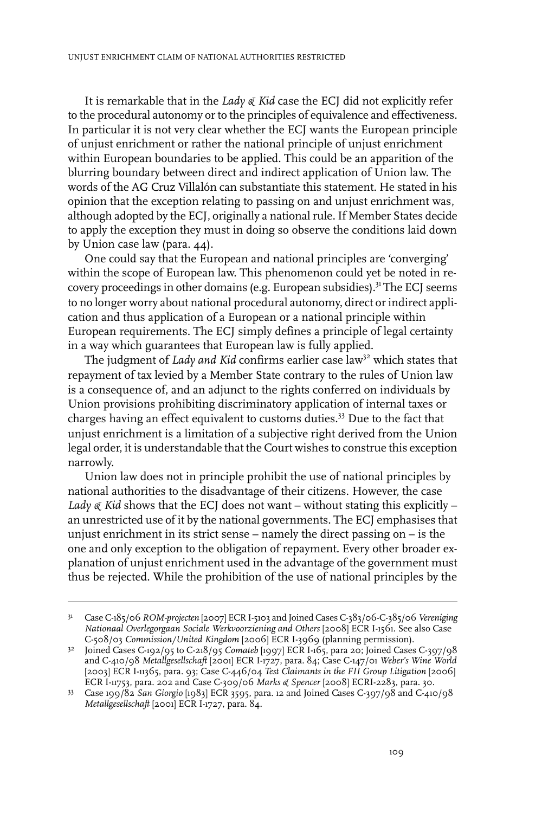It is remarkable that in the *Lady & Kid* case the ECJ did not explicitly refer to the procedural autonomy or to the principles of equivalence and effectiveness. In particular it is not very clear whether the ECJ wants the European principle of unjust enrichment or rather the national principle of unjust enrichment within European boundaries to be applied. This could be an apparition of the blurring boundary between direct and indirect application of Union law. The words of the AG Cruz Villalón can substantiate this statement. He stated in his opinion that the exception relating to passing on and unjust enrichment was, although adopted by the ECJ, originally a national rule. If Member States decide to apply the exception they must in doing so observe the conditions laid down by Union case law (para. 44).

One could say that the European and national principles are 'converging' within the scope of European law. This phenomenon could yet be noted in recovery proceedings in other domains (e.g. European subsidies).<sup>31</sup> The ECJ seems to no longer worry about national procedural autonomy, direct or indirect application and thus application of a European or a national principle within European requirements. The ECJ simply defines a principle of legal certainty in a way which guarantees that European law is fully applied.

The judgment of *Lady* and *Kid* confirms earlier case law<sup>32</sup> which states that repayment of tax levied by a Member State contrary to the rules of Union law is a consequence of, and an adjunct to the rights conferred on individuals by Union provisions prohibiting discriminatory application of internal taxes or charges having an effect equivalent to customs duties.<sup>33</sup> Due to the fact that unjust enrichment is a limitation of a subjective right derived from the Union legal order, it is understandable that the Court wishes to construe this exception narrowly.

Union law does not in principle prohibit the use of national principles by national authorities to the disadvantage of their citizens. However, the case *Lady*  $\alpha$  *Kid* shows that the ECJ does not want – without stating this explicitly – an unrestricted use of it by the national governments. The ECJ emphasises that unjust enrichment in its strict sense – namely the direct passing on – is the one and only exception to the obligation of repayment. Every other broader explanation of unjust enrichment used in the advantage of the government must thus be rejected. While the prohibition of the use of national principles by the

Case C-185/06 *ROM-projecten* [2007] ECR I-5103 and Joined Cases C-383/06-C-385/06 *Vereniging* 31 *Nationaal Overlegorgaan Sociale Werkvoorziening and Others* [2008] ECR I-1561. See also Case C-508/03 *Commission/United Kingdom* [2006] ECR I-3969 (planning permission).

Joined Cases C-192/95 to C-218/95 *Comateb* [1997] ECR I-165, para 20; Joined Cases C-397/98 32 and C-410/98 *Metallgesellschaft* [2001] ECR I-1727, para. 84; Case C-147/01 *Weber's Wine World* [2003] ECR I-11365, para. 93; Case C-446/04 *Test Claimants in the FII Group Litigation* [2006] ECR I-11753, para. 202 and Case C-309/06 *Marks & Spencer* [2008] ECRI-2283, para. 30.

Case 199/82 *San Giorgio* [1983] ECR 3595, para. 12 and Joined Cases C-397/98 and C-410/98 33 *Metallgesellschaft* [2001] ECR I-1727, para. 84.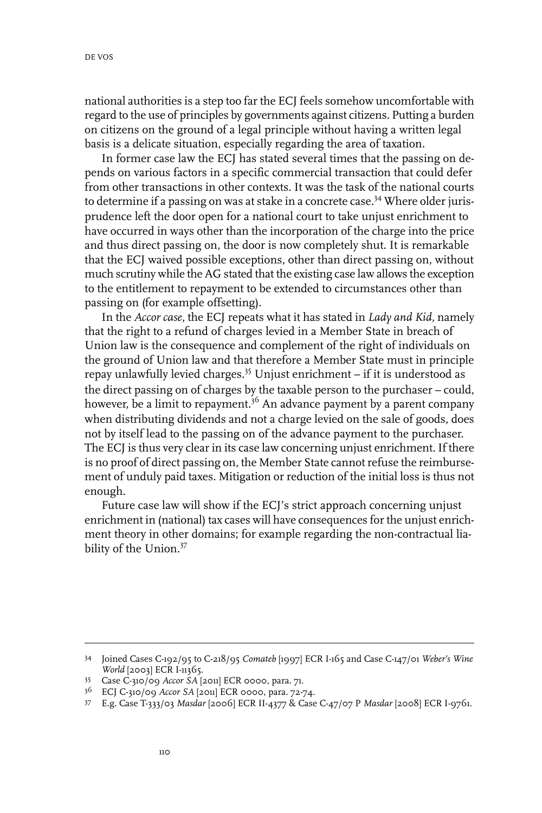national authorities is a step too far the ECJ feels somehow uncomfortable with regard to the use of principles by governments against citizens. Putting a burden on citizens on the ground of a legal principle without having a written legal basis is a delicate situation, especially regarding the area of taxation.

In former case law the ECJ has stated several times that the passing on depends on various factors in a specific commercial transaction that could defer from other transactions in other contexts. It was the task of the national courts to determine if a passing on was at stake in a concrete case.<sup>34</sup> Where older jurisprudence left the door open for a national court to take unjust enrichment to have occurred in ways other than the incorporation of the charge into the price and thus direct passing on, the door is now completely shut. It is remarkable that the ECJ waived possible exceptions, other than direct passing on, without much scrutiny while the AG stated that the existing case law allows the exception to the entitlement to repayment to be extended to circumstances other than passing on (for example offsetting).

In the *Accor case*, the ECJ repeats what it has stated in *Lady and Kid,* namely that the right to a refund of charges levied in a Member State in breach of Union law is the consequence and complement of the right of individuals on the ground of Union law and that therefore a Member State must in principle repay unlawfully levied charges.<sup>35</sup> Unjust enrichment – if it is understood as the direct passing on of charges by the taxable person to the purchaser – could, however, be a limit to repayment.<sup>36</sup> An advance payment by a parent company when distributing dividends and not a charge levied on the sale of goods, does not by itself lead to the passing on of the advance payment to the purchaser. The ECJ is thus very clear in its case law concerning unjust enrichment. If there is no proof of direct passing on, the Member State cannotrefuse the reimbursement of unduly paid taxes. Mitigation or reduction of the initial loss is thus not enough.

Future case law will show if the ECJ's strict approach concerning unjust enrichment in (national) tax cases will have consequences for the unjust enrichment theory in other domains; for example regarding the non-contractual liability of the Union.<sup>37</sup>

Joined Cases C-192/95 to C-218/95 *Comateb* [1997] ECR I-165 and Case C-147/01 *Weber's Wine* 34 *World* [2003] ECR I-11365.

Case C-310/09 *Accor SA* [2011] ECR 0000, para. 71. <sup>35</sup>

ECJ C-310/09 *Accor SA* [2011] ECR 0000, para. 72-74. <sup>36</sup>

E.g. Case T-333/03 *Masdar* [2006] ECR II-4377 & Case C-47/07 P *Masdar* [2008] ECR I-9761. <sup>37</sup>